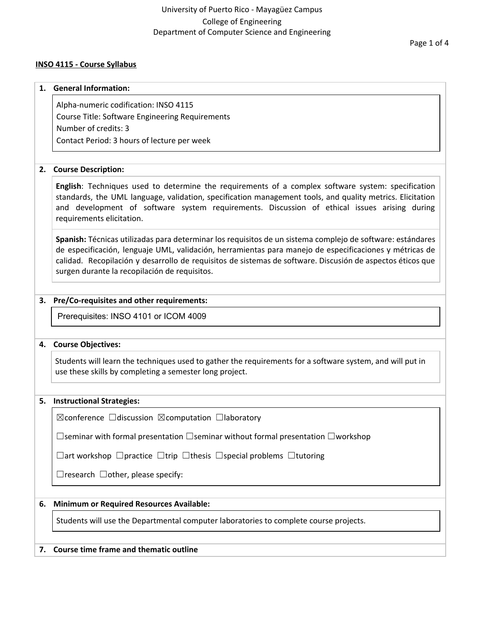#### **INSO 4115 - Course Syllabus**

# **1. General Information:** Alpha-numeric codification: INSO 4115 Course Title: Software Engineering Requirements Number of credits: 3

Contact Period: 3 hours of lecture per week

### **2. Course Description:**

**English**: Techniques used to determine the requirements of a complex software system: specification standards, the UML language, validation, specification management tools, and quality metrics. Elicitation and development of software system requirements. Discussion of ethical issues arising during requirements elicitation.

**Spanish:** Técnicas utilizadas para determinar los requisitos de un sistema complejo de software: estándares de especificación, lenguaje UML, validación, herramientas para manejo de especificaciones y métricas de calidad. Recopilación y desarrollo de requisitos de sistemas de software. Discusión de aspectos éticos que surgen durante la recopilación de requisitos.

### **3. Pre/Co-requisites and other requirements:**

Prerequisites: INSO 4101 or ICOM 4009

### **4. Course Objectives:**

Students will learn the techniques used to gather the requirements for a software system, and will put in use these skills by completing a semester long project.

### **5. Instructional Strategies:**

☒conference ☐discussion ☒computation ☐laboratory

☐seminar with formal presentation ☐seminar without formal presentation ☐workshop

☐art workshop ☐practice ☐trip ☐thesis ☐special problems ☐tutoring

 $\Box$ research  $\Box$ other, please specify:

## **6. Minimum or Required Resources Available:**

Students will use the Departmental computer laboratories to complete course projects.

### **7. Course time frame and thematic outline**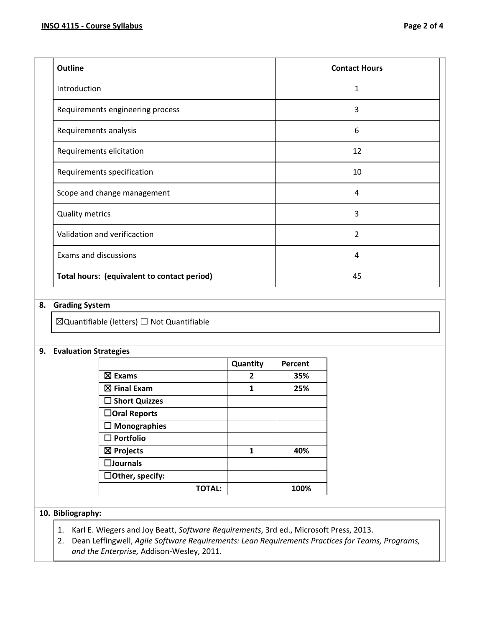| <b>Outline</b>                              | <b>Contact Hours</b> |
|---------------------------------------------|----------------------|
| Introduction                                | 1                    |
| Requirements engineering process            | 3                    |
| Requirements analysis                       | 6                    |
| Requirements elicitation                    | 12                   |
| Requirements specification                  | 10                   |
| Scope and change management                 | 4                    |
| <b>Quality metrics</b>                      | 3                    |
| Validation and verificaction                | $\overline{2}$       |
| <b>Exams and discussions</b>                | 4                    |
| Total hours: (equivalent to contact period) | 45                   |

### **8. Grading System**

 $\boxtimes$ Quantifiable (letters)  $\Box$  Not Quantifiable

#### **9. Evaluation Strategies**

|                         | Quantity | Percent |
|-------------------------|----------|---------|
| $\boxtimes$ Exams       | 2        | 35%     |
| $\boxtimes$ Final Exam  | 1        | 25%     |
| $\square$ Short Quizzes |          |         |
| $\Box$ Oral Reports     |          |         |
| $\Box$ Monographies     |          |         |
| $\square$ Portfolio     |          |         |
| $\boxtimes$ Projects    | 1        | 40%     |
| $\square$ Journals      |          |         |
| $\Box$ Other, specify:  |          |         |
| <b>TOTAL:</b>           |          | 100%    |

#### **10. Bibliography:**

- 1. Karl E. Wiegers and Joy Beatt, *Software Requirements*, 3rd ed., Microsoft Press, 2013.
- 2. Dean Leffingwell, *Agile Software Requirements: Lean Requirements Practices for Teams, Programs, and the Enterprise,* Addison-Wesley, 2011.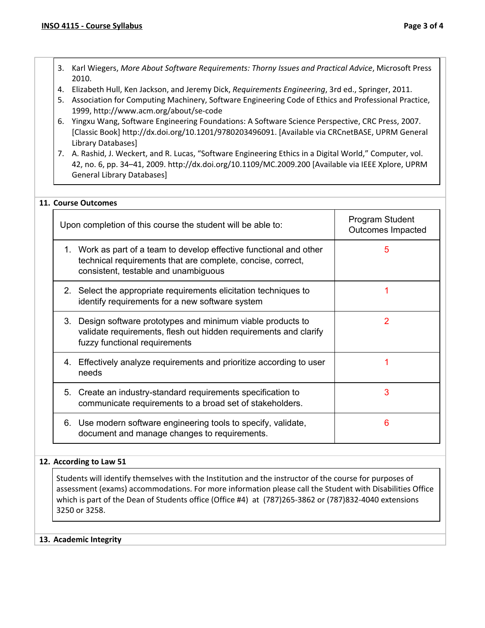- 3. Karl Wiegers, *More About Software Requirements: Thorny Issues and Practical Advice*, Microsoft Press 2010.
- 4. Elizabeth Hull, Ken Jackson, and Jeremy Dick, *Requirements Engineering*, 3rd ed., Springer, 2011.
- 5. Association for Computing Machinery, Software Engineering Code of Ethics and Professional Practice, 1999, http://www.acm.org/about/se-code
- 6. Yingxu Wang, Software Engineering Foundations: A Software Science Perspective, CRC Press, 2007. [Classic Book] http://dx.doi.org/10.1201/9780203496091. [Available via CRCnetBASE, UPRM General Library Databases]
- 7. A. Rashid, J. Weckert, and R. Lucas, "Software Engineering Ethics in a Digital World," Computer, vol. 42, no. 6, pp. 34–41, 2009. http://dx.doi.org/10.1109/MC.2009.200 [Available via IEEE Xplore, UPRM General Library Databases]

#### **11. Course Outcomes**

| Upon completion of this course the student will be able to:                                                                                                                | Program Student<br>Outcomes Impacted |
|----------------------------------------------------------------------------------------------------------------------------------------------------------------------------|--------------------------------------|
| 1. Work as part of a team to develop effective functional and other<br>technical requirements that are complete, concise, correct,<br>consistent, testable and unambiguous | 5                                    |
| 2. Select the appropriate requirements elicitation techniques to<br>identify requirements for a new software system                                                        |                                      |
| 3. Design software prototypes and minimum viable products to<br>validate requirements, flesh out hidden requirements and clarify<br>fuzzy functional requirements          | 2                                    |
| 4. Effectively analyze requirements and prioritize according to user<br>needs                                                                                              |                                      |
| 5. Create an industry-standard requirements specification to<br>communicate requirements to a broad set of stakeholders.                                                   | 3                                    |
| 6. Use modern software engineering tools to specify, validate,<br>document and manage changes to requirements.                                                             | 6                                    |

#### **12. According to Law 51**

Students will identify themselves with the Institution and the instructor of the course for purposes of assessment (exams) accommodations. For more information please call the Student with Disabilities Office which is part of the Dean of Students office (Office #4) at (787)265-3862 or (787)832-4040 extensions 3250 or 3258.

#### **13. Academic Integrity**